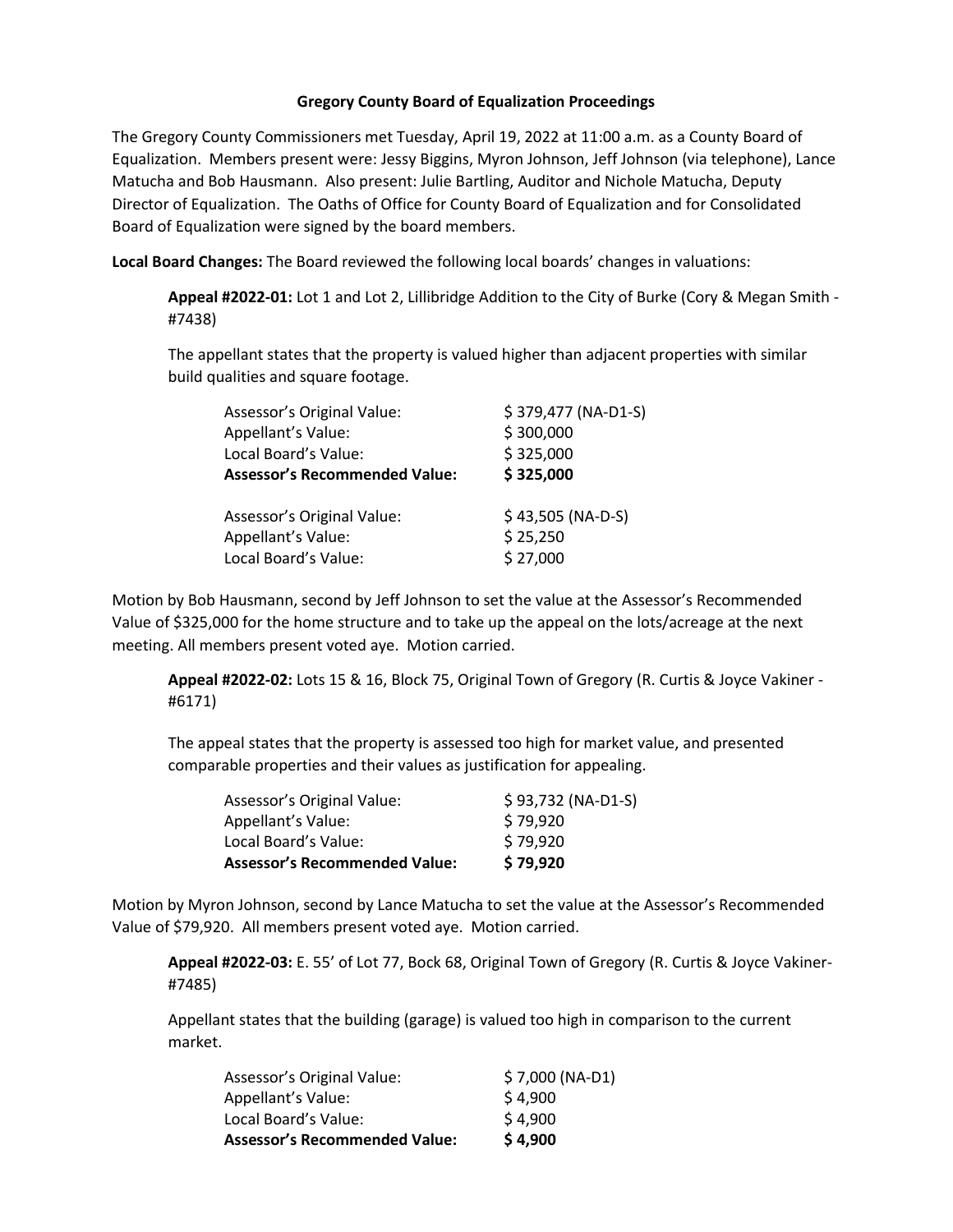## **Gregory County Board of Equalization Proceedings**

The Gregory County Commissioners met Tuesday, April 19, 2022 at 11:00 a.m. as a County Board of Equalization. Members present were: Jessy Biggins, Myron Johnson, Jeff Johnson (via telephone), Lance Matucha and Bob Hausmann. Also present: Julie Bartling, Auditor and Nichole Matucha, Deputy Director of Equalization. The Oaths of Office for County Board of Equalization and for Consolidated Board of Equalization were signed by the board members.

**Local Board Changes:** The Board reviewed the following local boards' changes in valuations:

**Appeal #2022-01:** Lot 1 and Lot 2, Lillibridge Addition to the City of Burke (Cory & Megan Smith - #7438)

The appellant states that the property is valued higher than adjacent properties with similar build qualities and square footage.

| Assessor's Original Value:           | \$379,477 (NA-D1-S) |
|--------------------------------------|---------------------|
| Appellant's Value:                   | \$300,000           |
| Local Board's Value:                 | \$325,000           |
| <b>Assessor's Recommended Value:</b> | \$325,000           |
| Assessor's Original Value:           | $$43,505 (NA-D-S)$  |
| Appellant's Value:                   | \$25,250            |
| Local Board's Value:                 | \$27,000            |
|                                      |                     |

Motion by Bob Hausmann, second by Jeff Johnson to set the value at the Assessor's Recommended Value of \$325,000 for the home structure and to take up the appeal on the lots/acreage at the next meeting. All members present voted aye. Motion carried.

**Appeal #2022-02:** Lots 15 & 16, Block 75, Original Town of Gregory (R. Curtis & Joyce Vakiner - #6171)

The appeal states that the property is assessed too high for market value, and presented comparable properties and their values as justification for appealing.

| <b>Assessor's Recommended Value:</b> | \$79,920           |
|--------------------------------------|--------------------|
| Local Board's Value:                 | \$79,920           |
| Appellant's Value:                   | \$79,920           |
| Assessor's Original Value:           | \$93,732 (NA-D1-S) |

Motion by Myron Johnson, second by Lance Matucha to set the value at the Assessor's Recommended Value of \$79,920. All members present voted aye. Motion carried.

**Appeal #2022-03:** E. 55' of Lot 77, Bock 68, Original Town of Gregory (R. Curtis & Joyce Vakiner- #7485)

Appellant states that the building (garage) is valued too high in comparison to the current market.

| <b>Assessor's Recommended Value:</b> | \$4,900         |
|--------------------------------------|-----------------|
| Local Board's Value:                 | \$4,900         |
| Appellant's Value:                   | \$4,900         |
| Assessor's Original Value:           | \$7,000 (NA-D1) |